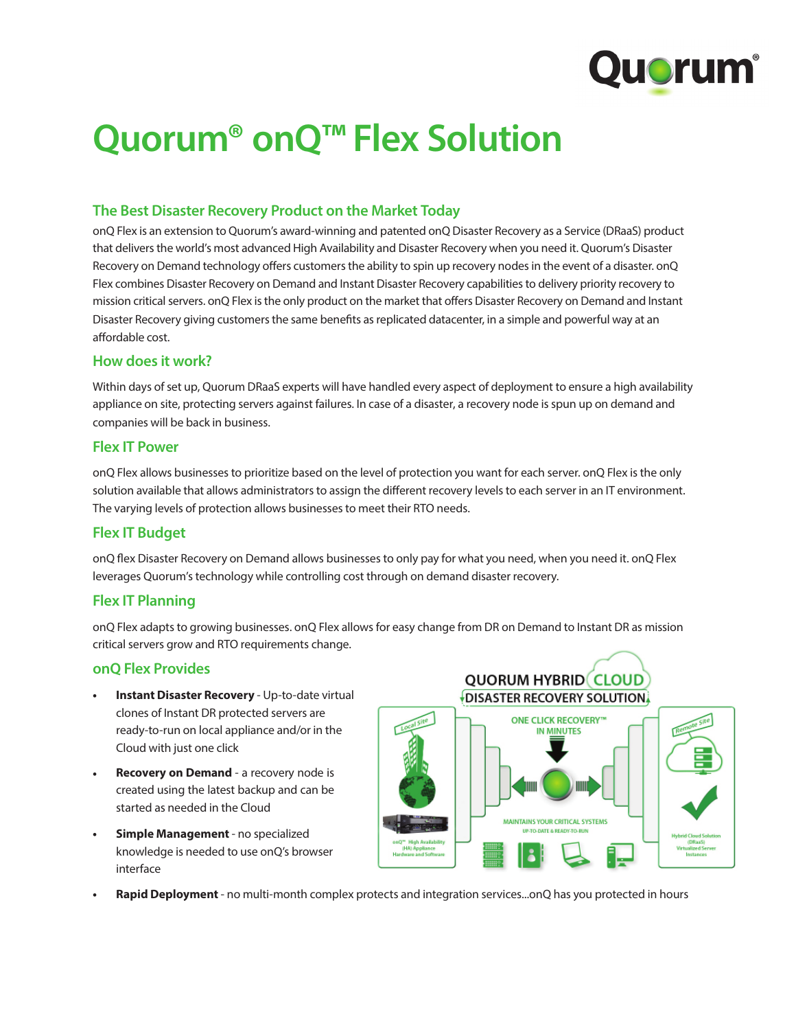

# **Quorum® onQ™ Flex Solution**

# **The Best Disaster Recovery Product on the Market Today**

onQ Flex is an extension to Quorum's award-winning and patented onQ Disaster Recovery as a Service (DRaaS) product that delivers the world's most advanced High Availability and Disaster Recovery when you need it. Quorum's Disaster Recovery on Demand technology offers customers the ability to spin up recovery nodes in the event of a disaster. onQ Flex combines Disaster Recovery on Demand and Instant Disaster Recovery capabilities to delivery priority recovery to mission critical servers. onQ Flex is the only product on the market that offers Disaster Recovery on Demand and Instant Disaster Recovery giving customers the same benefits as replicated datacenter, in a simple and powerful way at an affordable cost.

#### **How does it work?**

Within days of set up, Quorum DRaaS experts will have handled every aspect of deployment to ensure a high availability appliance on site, protecting servers against failures. In case of a disaster, a recovery node is spun up on demand and companies will be back in business.

#### **Flex IT Power**

onQ Flex allows businesses to prioritize based on the level of protection you want for each server. onQ Flex is the only solution available that allows administrators to assign the different recovery levels to each server in an IT environment. The varying levels of protection allows businesses to meet their RTO needs.

#### **Flex IT Budget**

onQ flex Disaster Recovery on Demand allows businesses to only pay for what you need, when you need it. onQ Flex leverages Quorum's technology while controlling cost through on demand disaster recovery.

#### **Flex IT Planning**

onQ Flex adapts to growing businesses. onQ Flex allows for easy change from DR on Demand to Instant DR as mission critical servers grow and RTO requirements change.

### **onQ Flex Provides**

- **• Instant Disaster Recovery**  Up-to-date virtual clones of Instant DR protected servers are ready-to-run on local appliance and/or in the Cloud with just one click
- **• Recovery on Demand**  a recovery node is created using the latest backup and can be started as needed in the Cloud
- **• Simple Management**  no specialized knowledge is needed to use onQ's browser interface



**• Rapid Deployment** - no multi-month complex protects and integration services...onQ has you protected in hours